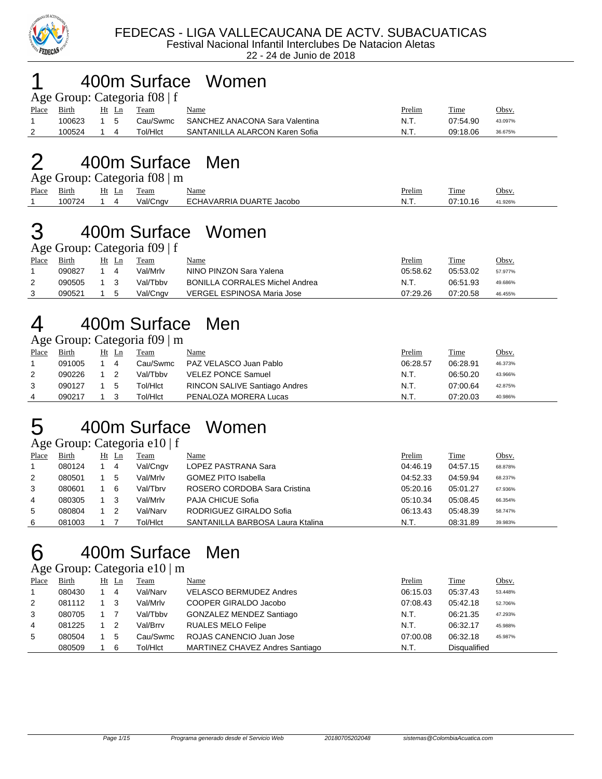

#### 400m Surface Women

| Age Group: Categoria f08   f |              |     |       |          |                                |        |          |              |  |  |
|------------------------------|--------------|-----|-------|----------|--------------------------------|--------|----------|--------------|--|--|
| Place                        | <b>Birth</b> |     | Ht Ln | Team     | <b>Name</b>                    | Prelim | Time     | <u>Obsv.</u> |  |  |
|                              | 100623       | 1 5 |       | Cau/Swmc | SANCHEZ ANACONA Sara Valentina | N.T.   | 07:54.90 | 43.097%      |  |  |
|                              | 100524       |     |       | Tol/Hlct | SANTANILLA ALARCON Karen Sofia | N.T.   | 09:18.06 | 36.675%      |  |  |

#### 400m Surface Men

| Age Group: Categoria f08   m |        |       |          |                          |               |          |         |  |  |  |  |
|------------------------------|--------|-------|----------|--------------------------|---------------|----------|---------|--|--|--|--|
| Place Birth                  |        | Ht Ln | Team     | <b>Name</b>              | <u>Prelim</u> | Time     | Obsv.   |  |  |  |  |
|                              | 100724 |       | Val/Cngv | ECHAVARRIA DUARTE Jacobo | -N.T.         | 07:10.16 | 41.926% |  |  |  |  |

## 400m Surface Women

Age Group: Categoria f09 | f

| Place | Birth  | Team     | <u>Name</u>                           | <u>Prelim</u> | Time     | <u>Obsv.</u> |
|-------|--------|----------|---------------------------------------|---------------|----------|--------------|
|       | 090827 | Val/Mrlv | NINO PINZON Sara Yalena               | 05:58.62      | 05:53.02 | 57.977%      |
|       | 090505 | Val/Tbby | <b>BONILLA CORRALES Michel Andrea</b> | - N.T.        | 06:51.93 | 49.686%      |
|       | 090521 | Val/Cngv | VERGEL ESPINOSA Maria Jose            | 07:29.26      | 07:20.58 | 46.455%      |

## 400m Surface Men

Age Group: Categoria f09 | m

| Place | Birth  | Ht<br>Ln | Team     | Name                                 | Prelim   | <b>Time</b> | <u>Obsv.</u> |
|-------|--------|----------|----------|--------------------------------------|----------|-------------|--------------|
|       | 091005 | 4        | Cau/Swmc | PAZ VELASCO Juan Pablo               | 06:28.57 | 06:28.91    | 46.373%      |
| 2     | 090226 |          | Val/Tbby | <b>VELEZ PONCE Samuel</b>            | N.T.     | 06:50.20    | 43.966%      |
|       | 090127 | 5        | Tol/HIct | <b>RINCON SALIVE Santiago Andres</b> | N.T.     | 07:00.64    | 42.875%      |
| 4     | 090217 |          | Tol/HIct | PENALOZA MORERA Lucas                | N.T.     | 07:20.03    | 40.986%      |

#### 400m Surface Women

Age Group: Categoria e10 | f

| Place | Birth  | $Ht$ Ln | Team     | Name                             | Prelim   | Time     | Obsv.   |
|-------|--------|---------|----------|----------------------------------|----------|----------|---------|
|       | 080124 | 4       | Val/Cngv | LOPEZ PASTRANA Sara              | 04:46.19 | 04:57.15 | 68.878% |
| 2     | 080501 | -5      | Val/Mrlv | <b>GOMEZ PITO Isabella</b>       | 04:52.33 | 04:59.94 | 68.237% |
| 3     | 080601 | 6       | Val/Tbrv | ROSERO CORDOBA Sara Cristina     | 05:20.16 | 05:01.27 | 67.936% |
| 4     | 080305 |         | Val/Mrlv | <b>PAJA CHICUE Sofia</b>         | 05:10.34 | 05:08.45 | 66.354% |
| 5     | 080804 |         | Val/Narv | RODRIGUEZ GIRALDO Sofia          | 06:13.43 | 05:48.39 | 58.747% |
| 6     | 081003 |         | Tol/HIct | SANTANILLA BARBOSA Laura Ktalina | N.T.     | 08:31.89 | 39.983% |

# 400m Surface Men

Age Group: Categoria e10 | m

| Place        | Birth  | Ht Ln | Team     | Name                            | Prelim   | Time         | <u>Obsv.</u> |
|--------------|--------|-------|----------|---------------------------------|----------|--------------|--------------|
| $\mathbf{1}$ | 080430 | 4     | Val/Narv | <b>VELASCO BERMUDEZ Andres</b>  | 06:15.03 | 05:37.43     | 53.448%      |
| 2            | 081112 | -3    | Val/Mrlv | COOPER GIRALDO Jacobo           | 07:08.43 | 05:42.18     | 52.706%      |
| 3            | 080705 |       | Val/Tbby | GONZALEZ MENDEZ Santiago        | N.T.     | 06:21.35     | 47.293%      |
| 4            | 081225 | -2    | Val/Brrv | <b>RUALES MELO Felipe</b>       | N.T.     | 06:32.17     | 45.988%      |
| 5            | 080504 | 5     | Cau/Swmc | ROJAS CANENCIO Juan Jose        | 07:00.08 | 06:32.18     | 45.987%      |
|              | 080509 | 6     | Tol/HIct | MARTINEZ CHAVEZ Andres Santiago | N.T.     | Disqualified |              |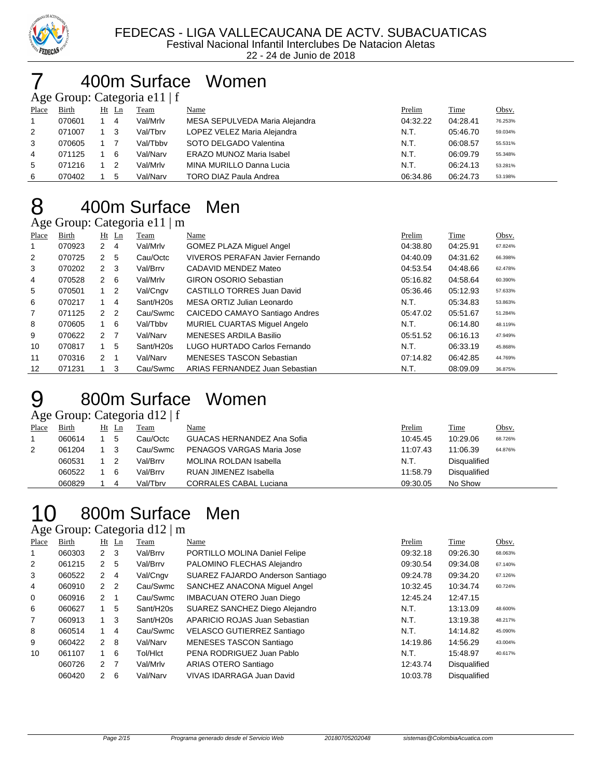

#### 400m Surface Women

Age Group: Categoria e11 | f

| -     |        | $\tilde{\phantom{a}}$ |          |                                 |          |          |         |
|-------|--------|-----------------------|----------|---------------------------------|----------|----------|---------|
| Place | Birth  | $Ht$ Ln               | Team     | Name                            | Prelim   | Time     | Obsv.   |
|       | 070601 | -4                    | Val/Mrlv | MESA SEPULVEDA Maria Alejandra  | 04:32.22 | 04:28.41 | 76.253% |
| 2     | 071007 | - 3                   | Val/Tbrv | LOPEZ VELEZ Maria Alejandra     | N.T.     | 05:46.70 | 59.034% |
| 3     | 070605 |                       | Val/Tbby | SOTO DELGADO Valentina          | N.T.     | 06:08.57 | 55.531% |
| 4     | 071125 | 6                     | Val/Narv | <b>ERAZO MUNOZ Maria Isabel</b> | N.T.     | 06:09.79 | 55.348% |
| 5     | 071216 | -2                    | Val/Mrlv | MINA MURILLO Danna Lucia        | N.T.     | 06:24.13 | 53.281% |
| 6     | 070402 | 5                     | Val/Narv | <b>TORO DIAZ Paula Andrea</b>   | 06:34.86 | 06:24.73 | 53.198% |
|       |        |                       |          |                                 |          |          |         |

# 400m Surface Men

Age Group: Categoria e11 | m

| Place          | Birth  |                | $Ht$ Ln | Team      | Name                            | Prelim   | Time     | Obsv.   |
|----------------|--------|----------------|---------|-----------|---------------------------------|----------|----------|---------|
|                | 070923 | 2              | 4       | Val/Mrlv  | <b>GOMEZ PLAZA Miguel Angel</b> | 04:38.80 | 04:25.91 | 67.824% |
| $\overline{2}$ | 070725 | 2              | 5       | Cau/Octc  | VIVEROS PERAFAN Javier Fernando | 04:40.09 | 04:31.62 | 66.398% |
| 3              | 070202 | $2 \quad 3$    |         | Val/Brrv  | CADAVID MENDEZ Mateo            | 04:53.54 | 04:48.66 | 62.478% |
| 4              | 070528 | $2 \quad 6$    |         | Val/Mrlv  | <b>GIRON OSORIO Sebastian</b>   | 05:16.82 | 04:58.64 | 60.390% |
| 5              | 070501 | $1\quad 2$     |         | Val/Cngv  | CASTILLO TORRES Juan David      | 05:36.46 | 05:12.93 | 57.633% |
| 6              | 070217 | 1              | 4       | Sant/H20s | MESA ORTIZ Julian Leonardo      | N.T.     | 05:34.83 | 53.863% |
| $\overline{7}$ | 071125 | 2 <sub>2</sub> |         | Cau/Swmc  | CAICEDO CAMAYO Santiago Andres  | 05:47.02 | 05:51.67 | 51.284% |
| 8              | 070605 | 1              | 6       | Val/Tbby  | MURIEL CUARTAS Miguel Angelo    | N.T.     | 06:14.80 | 48.119% |
| 9              | 070622 | 2 7            |         | Val/Narv  | MENESES ARDILA Basilio          | 05:51.52 | 06:16.13 | 47.949% |
| 10             | 070817 | $\mathbf{1}$   | 5       | Sant/H20s | LUGO HURTADO Carlos Fernando    | N.T.     | 06:33.19 | 45.868% |
| 11             | 070316 | 2 <sub>1</sub> |         | Val/Narv  | <b>MENESES TASCON Sebastian</b> | 07:14.82 | 06:42.85 | 44.769% |
| 12             | 071231 |                | 3       | Cau/Swmc  | ARIAS FERNANDEZ Juan Sebastian  | N.T.     | 08:09.09 | 36.875% |

### 800m Surface Women

Age Group: Categoria d12 | f

| Place | <b>Birth</b> | Ht | Ln | Team     | <u>Name</u>                      | Prelim   | Time                | <u>Obsv.</u> |
|-------|--------------|----|----|----------|----------------------------------|----------|---------------------|--------------|
|       | 060614       |    | 5  | Cau/Octc | GUACAS HERNANDEZ Ana Sofia       | 10:45.45 | 10:29.06            | 68.726%      |
| 2     | 061204       |    |    | Cau/Swmc | <b>PENAGOS VARGAS Maria Jose</b> | 11:07.43 | 11:06.39            | 64.876%      |
|       | 060531       |    |    | Val/Brrv | <b>MOLINA ROLDAN Isabella</b>    | N.T.     | Disqualified        |              |
|       | 060522       |    | 6  | Val/Brrv | RUAN JIMENEZ Isabella            | 11:58.79 | <b>Disqualified</b> |              |
|       | 060829       |    |    | Val/Tbrv | <b>CORRALES CABAL Luciana</b>    | 09:30.05 | No Show             |              |

## 800m Surface Men

Age Group: Categoria d12 | m

| <b>Place</b>   | Birth  |               | $Ht$ Ln | Team                  | <b>Name</b>                       | Prelim   | Time                | Obsv.   |
|----------------|--------|---------------|---------|-----------------------|-----------------------------------|----------|---------------------|---------|
| 1              | 060303 | $2 \quad 3$   |         | Val/Brrv              | PORTILLO MOLINA Daniel Felipe     | 09:32.18 | 09:26.30            | 68.063% |
| 2              | 061215 | 2             | 5       | Val/Brrv              | PALOMINO FLECHAS Alejandro        | 09:30.54 | 09:34.08            | 67.140% |
| 3              | 060522 | 2             | 4       | Val/Cngv              | SUAREZ FAJARDO Anderson Santiago  | 09:24.78 | 09:34.20            | 67.126% |
| $\overline{4}$ | 060910 | 2             | 2       | Cau/Swmc              | SANCHEZ ANACONA Miguel Angel      | 10:32.45 | 10:34.74            | 60.724% |
| 0              | 060916 | $\mathcal{P}$ | -1      | Cau/Swmc              | <b>IMBACUAN OTERO Juan Diego</b>  | 12:45.24 | 12:47.15            |         |
| 6              | 060627 |               | 5       | Sant/H20s             | SUAREZ SANCHEZ Diego Alejandro    | N.T.     | 13:13.09            | 48.600% |
| 7              | 060913 |               | 3       | Sant/H <sub>20s</sub> | APARICIO ROJAS Juan Sebastian     | N.T.     | 13:19.38            | 48.217% |
| 8              | 060514 |               | 4       | Cau/Swmc              | <b>VELASCO GUTIERREZ Santiago</b> | N.T.     | 14:14.82            | 45.090% |
| 9              | 060422 | $\mathcal{P}$ | 8       | Val/Narv              | MENESES TASCON Santiago           | 14:19.86 | 14:56.29            | 43.004% |
| 10             | 061107 | 1.            | 6       | Tol/HIct              | PENA RODRIGUEZ Juan Pablo         | N.T.     | 15:48.97            | 40.617% |
|                | 060726 | $\mathcal{P}$ | -7      | Val/Mrlv              | ARIAS OTERO Santiago              | 12:43.74 | <b>Disqualified</b> |         |
|                | 060420 | $\mathcal{P}$ | 6       | Val/Narv              | <b>VIVAS IDARRAGA Juan David</b>  | 10:03.78 | <b>Disqualified</b> |         |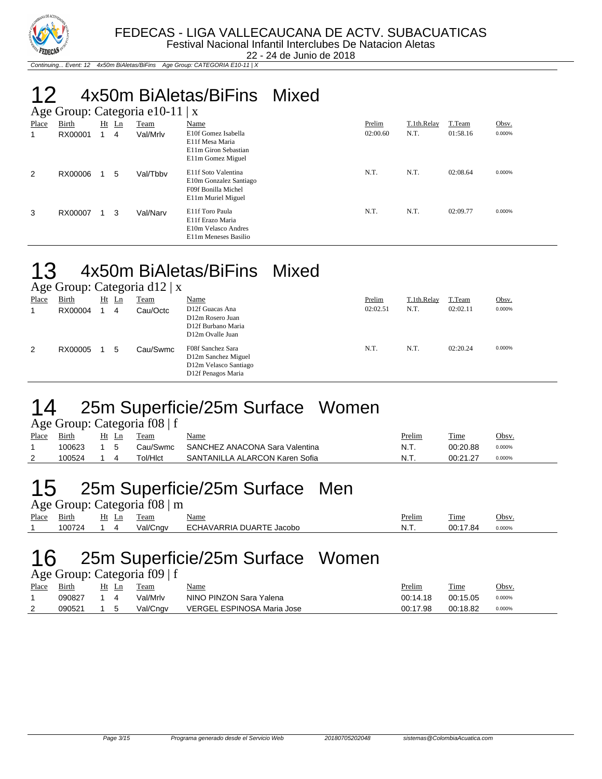

22 - 24 de Junio de 2018

Continuing... Event: 12 4x50m BiAletas/BiFins Age Group: CATEGORIA E10-11 | X

#### 12 4x50m BiAletas/BiFins Mixed  $A = 2.0$   $\mu$ : Categoria e10-11 | x

|              | $\Delta$ ge Oroup. Categoria eto-11   $\Delta$ |    |    |             |                                                                                            |          |             |          |        |  |  |  |
|--------------|------------------------------------------------|----|----|-------------|--------------------------------------------------------------------------------------------|----------|-------------|----------|--------|--|--|--|
| <b>Place</b> | Birth                                          | Ht | Ln | <b>Team</b> | Name                                                                                       | Prelim   | T.1th.Relay | T.Team   | Obsv.  |  |  |  |
| 1            | RX00001                                        |    | 4  | Val/Mrlv    | E10f Gomez Isabella<br>E11f Mesa Maria<br>E11m Giron Sebastian<br>E11m Gomez Miguel        | 02:00.60 | N.T.        | 01:58.16 | 0.000% |  |  |  |
| 2            | RX00006                                        |    | 5  | Val/Tbby    | E11f Soto Valentina<br>E10m Gonzalez Santiago<br>F09f Bonilla Michel<br>E11m Muriel Miguel | N.T.     | N.T.        | 02:08.64 | 0.000% |  |  |  |
| 3            | RX00007                                        |    | 3  | Val/Narv    | E11f Toro Paula<br>E11f Erazo Maria<br>E10m Velasco Andres<br>E11m Meneses Basilio         | N.T.     | N.T.        | 02:09.77 | 0.000% |  |  |  |

#### 13 4x50m BiAletas/BiFins Mixed

Age Group: Categoria d12 | x<br>Place Birth Ht Ln Team Place Birth Ht Ln Team Name Prelim T.1th.Relay T.Team Obsv.

| 1 iacc | Du ur   | $\overline{111}$ | $\overline{\phantom{0}}$ | Team     | $1$ value                                                                               | $11$ Chini | 1.1 <i>un.vol.</i> | $1.1$ cann | $\overline{\mathbf{v}}$ |
|--------|---------|------------------|--------------------------|----------|-----------------------------------------------------------------------------------------|------------|--------------------|------------|-------------------------|
| 1      | RX00004 |                  | 4                        | Cau/Octc | D12f Guacas Ana<br>D12m Rosero Juan<br>D12f Burbano Maria<br>D12m Ovalle Juan           | 02:02.51   | N.T.               | 02:02.11   | 0.000%                  |
| 2      | RX00005 | $\blacksquare$   | 5                        | Cau/Swmc | F08f Sanchez Sara<br>D12m Sanchez Miguel<br>D12m Velasco Santiago<br>D12f Penagos Maria | N.T.       | N.T.               | 02:20.24   | 0.000%                  |

#### 14 25m Superficie/25m Surface Women

|       |        |                 | Age Group: Categoria f08   f |                                |        |          |        |
|-------|--------|-----------------|------------------------------|--------------------------------|--------|----------|--------|
| Place | Birth  | Ht Ln           | Team                         | <u>Name</u>                    | Prelim | Time     | Obsv.  |
|       | 100623 | $1\overline{5}$ | Cau/Swmc                     | SANCHEZ ANACONA Sara Valentina | N.T.   | 00:20.88 | 0.000% |
|       | 100524 | $1\quad 4$      | Tol/Hlct                     | SANTANILLA ALARCON Karen Sofia | N.T.   | 00:21.27 | 0.000% |

#### 15 25m Superficie/25m Surface Men

|             | Age Group: Categoria f08   m |       |  |          |                          |               |             |        |  |  |  |  |
|-------------|------------------------------|-------|--|----------|--------------------------|---------------|-------------|--------|--|--|--|--|
| Place Birth |                              | Ht Ln |  | Team     | <u>Name</u>              | <u>Prelim</u> | <b>Time</b> | Obsv.  |  |  |  |  |
|             | 100724                       |       |  | Val/Cngv | ECHAVARRIA DUARTE Jacobo | N.T.          | 00:17.84    | 0.000% |  |  |  |  |

#### 16 25m Superficie/25m Surface Women

Age Group: Categoria f09 | f

| Place | Birth  | Ht Ln | Team     | Name                       | <u>Prelim</u> | Time     | Obsv.  |
|-------|--------|-------|----------|----------------------------|---------------|----------|--------|
|       | 090827 |       | Val/Mrlv | NINO PINZON Sara Yalena    | 00:14.18      | 00:15.05 | 0.000% |
| 2     | 090521 |       | Val/Cngv | VERGEL ESPINOSA Maria Jose | 00:17.98      | 00:18.82 | 0.000% |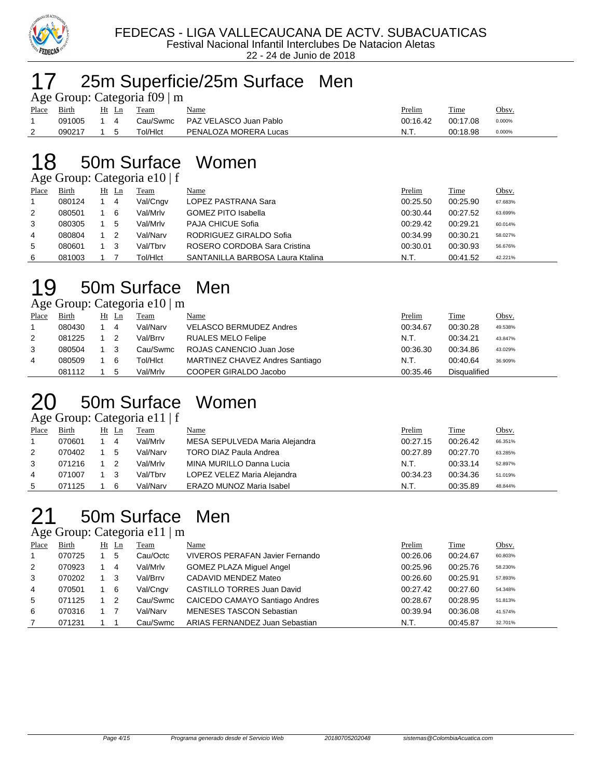

#### 25m Superficie/25m Surface Men

|       | Age Group: Categoria f09   m |                          |          |                        |          |          |        |  |  |  |  |  |  |
|-------|------------------------------|--------------------------|----------|------------------------|----------|----------|--------|--|--|--|--|--|--|
| Place | Birth                        | Ht Ln                    | Team     | <u>Name</u>            | Prelim   | Time     | Obsv.  |  |  |  |  |  |  |
|       | 091005                       | $\boldsymbol{\varDelta}$ | Cau/Swmc | PAZ VELASCO Juan Pablo | 00:16.42 | 00:17.08 | 0.000% |  |  |  |  |  |  |
|       | 090217                       | h                        | Tol/HIct | PENALOZA MORERA Lucas  | N.T.     | 00:18.98 | 0.000% |  |  |  |  |  |  |

#### 50m Surface Women

Age Group: Categoria e10 | f

| ັ     |        |    | ັ  |          |                                  |          |          |         |
|-------|--------|----|----|----------|----------------------------------|----------|----------|---------|
| Place | Birth  | Ht | Ln | Team     | Name                             | Prelim   | Time     | Obsv.   |
|       | 080124 |    | 4  | Val/Cngv | LOPEZ PASTRANA Sara              | 00:25.50 | 00:25.90 | 67.683% |
| 2     | 080501 |    | 6  | Val/Mrlv | <b>GOMEZ PITO Isabella</b>       | 00:30.44 | 00:27.52 | 63.699% |
| 3     | 080305 |    | 5  | Val/Mrlv | PAJA CHICUE Sofia                | 00:29.42 | 00:29.21 | 60.014% |
| 4     | 080804 |    |    | Val/Narv | RODRIGUEZ GIRALDO Sofia          | 00:34.99 | 00:30.21 | 58.027% |
| 5     | 080601 |    |    | Val/Tbrv | ROSERO CORDOBA Sara Cristina     | 00:30.01 | 00:30.93 | 56.676% |
| 6     | 081003 |    |    | Tol/HIct | SANTANILLA BARBOSA Laura Ktalina | N.T.     | 00:41.52 | 42.221% |

#### 50m Surface Men

Age Group: Categoria e10 | m

| Place | Birth  | Ht Ln | Team     | <u>Name</u>                     | Prelim   | Time                | <u>Obsv.</u> |
|-------|--------|-------|----------|---------------------------------|----------|---------------------|--------------|
|       | 080430 | 4     | Val/Narv | <b>VELASCO BERMUDEZ Andres</b>  | 00:34.67 | 00:30.28            | 49.538%      |
| 2     | 081225 |       | Val/Brrv | <b>RUALES MELO Felipe</b>       | N.T.     | 00:34.21            | 43.847%      |
| 3     | 080504 | - 3   | Cau/Swmc | ROJAS CANENCIO Juan Jose        | 00:36.30 | 00:34.86            | 43.029%      |
| 4     | 080509 | - 6   | Tol/HIct | MARTINEZ CHAVEZ Andres Santiago | N.T.     | 00:40.64            | 36.909%      |
|       | 081112 | 5     | Val/Mrlv | COOPER GIRALDO Jacobo           | 00:35.46 | <b>Disqualified</b> |              |

#### 50m Surface Women

Age Group: Categoria e11 | f

| Place | <b>Birth</b> | $Ht$ Ln |    | Team     | Name                            | Prelim   | Time     | Obsv.   |
|-------|--------------|---------|----|----------|---------------------------------|----------|----------|---------|
|       | 070601       |         | -4 | Val/Mrlv | MESA SEPULVEDA Maria Alejandra  | 00:27.15 | 00:26.42 | 66.351% |
| 2     | 070402       |         | 5  | Val/Narv | TORO DIAZ Paula Andrea          | 00:27.89 | 00:27.70 | 63.285% |
| 3     | 071216       |         | 2  | Val/Mrlv | MINA MURILLO Danna Lucia        | N.T.     | 00:33.14 | 52.897% |
| 4     | 071007       |         | 3  | Val/Tbrv | LOPEZ VELEZ Maria Alejandra     | 00:34.23 | 00:34.36 | 51.019% |
| 5     | 071125       |         | 6  | Val/Narv | <b>ERAZO MUNOZ Maria Isabel</b> | N.T.     | 00:35.89 | 48.844% |

## 50m Surface Men

Age Group: Categoria e11 | m

| ب              |              | ت              |             |                                        | Prelim   |             |         |
|----------------|--------------|----------------|-------------|----------------------------------------|----------|-------------|---------|
| Place          | <b>Birth</b> | $Ht$ Ln        | <b>Team</b> | <b>Name</b>                            |          | <b>Time</b> | Obsv.   |
|                | 070725       | 5              | Cau/Octc    | <b>VIVEROS PERAFAN Javier Fernando</b> | 00:26.06 | 00:24.67    | 60.803% |
| $\overline{2}$ | 070923       | 4              | Val/Mrlv    | <b>GOMEZ PLAZA Miguel Angel</b>        | 00:25.96 | 00:25.76    | 58.230% |
| 3              | 070202       | - 3            | Val/Brrv    | CADAVID MENDEZ Mateo                   | 00:26.60 | 00:25.91    | 57.893% |
| 4              | 070501       | - 6            | Val/Cngv    | <b>CASTILLO TORRES Juan David</b>      | 00:27.42 | 00:27.60    | 54.348% |
| 5              | 071125       | $\overline{2}$ | Cau/Swmc    | CAICEDO CAMAYO Santiago Andres         | 00:28.67 | 00:28.95    | 51.813% |
| 6              | 070316       |                | Val/Narv    | <b>MENESES TASCON Sebastian</b>        | 00:39.94 | 00:36.08    | 41.574% |
|                | 071231       |                | Cau/Swmc    | ARIAS FERNANDEZ Juan Sebastian         | N.T.     | 00:45.87    | 32.701% |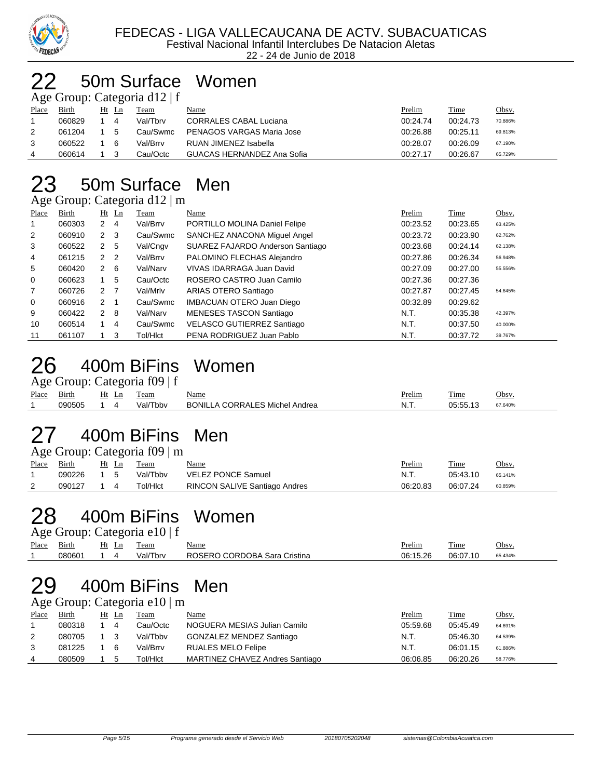

#### 50m Surface Women  $G$ roup: Categoria d12 | f

| $\frac{1}{2}$ Sec Oroup. Calce Original GTZ   1 |  |  |                        |                               |          |          |              |  |  |  |  |  |
|-------------------------------------------------|--|--|------------------------|-------------------------------|----------|----------|--------------|--|--|--|--|--|
| Birth                                           |  |  | Team                   | Name                          | Prelim   | Time     | <u>Obsv.</u> |  |  |  |  |  |
| 060829                                          |  |  | Val/Tbrv               | <b>CORRALES CABAL Luciana</b> | 00:24.74 | 00:24.73 | 70.886%      |  |  |  |  |  |
| 061204                                          |  |  | Cau/Swmc               | PENAGOS VARGAS Maria Jose     | 00:26.88 | 00:25.11 | 69.813%      |  |  |  |  |  |
| 060522                                          |  |  | Val/Brrv               | RUAN JIMENEZ Isabella         | 00:28.07 | 00:26.09 | 67.190%      |  |  |  |  |  |
| 060614                                          |  |  | Cau/Octc               | GUACAS HERNANDEZ Ana Sofia    | 00:27.17 | 00:26.67 | 65.729%      |  |  |  |  |  |
|                                                 |  |  | Ht Ln<br>4<br>-5<br>-6 |                               |          |          |              |  |  |  |  |  |

## 23 50m Surface Men

Age Group: Categoria d12 | m

| <b>Place</b>   | Birth  |                      | $Ht$ Ln        | Team     | Name                              | Prelim   | <b>Time</b> | Obsv.   |
|----------------|--------|----------------------|----------------|----------|-----------------------------------|----------|-------------|---------|
|                | 060303 | $\mathbf{2}^{\circ}$ | $\overline{4}$ | Val/Brrv | PORTILLO MOLINA Daniel Felipe     | 00:23.52 | 00:23.65    | 63.425% |
| 2              | 060910 | $2 \quad 3$          |                | Cau/Swmc | SANCHEZ ANACONA Miguel Angel      | 00:23.72 | 00:23.90    | 62.762% |
| 3              | 060522 | 2 5                  |                | Val/Cngv | SUAREZ FAJARDO Anderson Santiago  | 00:23.68 | 00:24.14    | 62.138% |
| 4              | 061215 | 2 <sub>2</sub>       |                | Val/Brrv | PALOMINO FLECHAS Alejandro        | 00:27.86 | 00:26.34    | 56.948% |
| 5              | 060420 | $2 \quad 6$          |                | Val/Narv | VIVAS IDARRAGA Juan David         | 00:27.09 | 00:27.00    | 55.556% |
| 0              | 060623 |                      | 5              | Cau/Octc | ROSERO CASTRO Juan Camilo         | 00:27.36 | 00:27.36    |         |
| $\overline{7}$ | 060726 | 2 <sub>7</sub>       |                | Val/Mrlv | ARIAS OTERO Santiago              | 00:27.87 | 00:27.45    | 54.645% |
| $\mathbf 0$    | 060916 | $2 \quad 1$          |                | Cau/Swmc | <b>IMBACUAN OTERO Juan Diego</b>  | 00:32.89 | 00:29.62    |         |
| 9              | 060422 | $2 \quad 8$          |                | Val/Narv | <b>MENESES TASCON Santiago</b>    | N.T.     | 00:35.38    | 42.397% |
| 10             | 060514 |                      | -4             | Cau/Swmc | <b>VELASCO GUTIERREZ Santiago</b> | N.T.     | 00:37.50    | 40.000% |
| 11             | 061107 |                      | 3              | Tol/HIct | PENA RODRIGUEZ Juan Pablo         | N.T.     | 00:37.72    | 39.767% |

### 26 400m BiFins Women

|       | Age Group: Categoria f09   f |            |  |            |                                       |               |          |         |  |  |  |  |
|-------|------------------------------|------------|--|------------|---------------------------------------|---------------|----------|---------|--|--|--|--|
| Place | Birth                        |            |  | Ht Ln Team | <u>Name</u>                           | <u>Prelim</u> | Time     | Obsv.   |  |  |  |  |
|       | 090505                       | $1\quad 4$ |  | Val/Tbbv   | <b>BONILLA CORRALES Michel Andrea</b> | -N.T.         | 05:55.13 | 67.640% |  |  |  |  |

## 27 400m BiFins Men

| Age Group: Categoria $f09 \mid m$ |              |     |       |             |                                      |               |          |         |  |  |  |
|-----------------------------------|--------------|-----|-------|-------------|--------------------------------------|---------------|----------|---------|--|--|--|
| Place                             | <b>Birth</b> |     | Ht Ln | <b>Team</b> | Name                                 | <b>Prelim</b> | Time     | Obsv.   |  |  |  |
|                                   | 090226       | 1 5 |       | Val/Tbby    | <b>VELEZ PONCE Samuel</b>            | N.T.          | 05:43.10 | 65.141% |  |  |  |
|                                   | 090127       |     |       | Tol/HIct    | <b>RINCON SALIVE Santiago Andres</b> | 06:20.83      | 06:07.24 | 60.859% |  |  |  |

### 28 400m BiFins Women

|       | Age Group: Categoria e10   f |       |          |                              |               |          |         |  |  |  |  |
|-------|------------------------------|-------|----------|------------------------------|---------------|----------|---------|--|--|--|--|
| Place | Birth                        | Ht Ln | Team     | <b>Name</b>                  | <u>Prelim</u> | Time     | Obsv.   |  |  |  |  |
|       | 080601                       |       | Val/Tbrv | ROSERO CORDOBA Sara Cristina | 06:15.26      | 06:07.10 | 65.434% |  |  |  |  |

## 29 400m BiFins Men

Age Group: Categoria e10 | m

| Place | <b>Birth</b> | Ht Ln | Team     | Name                            | Prelim   | Time     | Obsv.   |
|-------|--------------|-------|----------|---------------------------------|----------|----------|---------|
|       | 080318       | 4     | Cau/Octc | NOGUERA MESIAS Julian Camilo    | 05:59.68 | 05:45.49 | 64.691% |
|       | 080705       |       | Val/Tbby | GONZALEZ MENDEZ Santiago        | N.T.     | 05:46.30 | 64.539% |
|       | 081225       | 6     | Val/Brrv | RUALES MELO Felipe              | N.T.     | 06:01.15 | 61.886% |
|       | 080509       | 5     | Tol/HIct | MARTINEZ CHAVEZ Andres Santiago | 06:06.85 | 06:20.26 | 58.776% |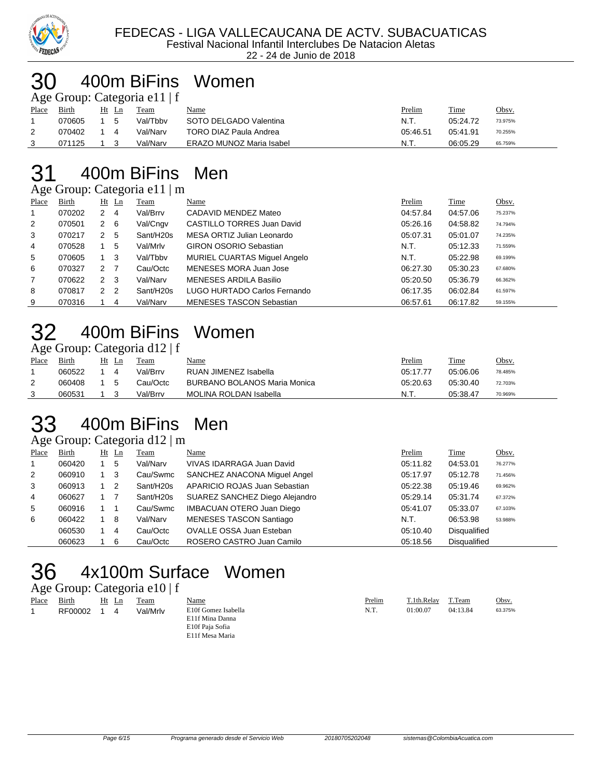

#### 400m BiFins Women  $\sum$ nup: Categoria e11 | f

|       |        |             |       | $\Delta$ gu Oroup. Catugoria Ur $\pm$ |                          |          |          |         |
|-------|--------|-------------|-------|---------------------------------------|--------------------------|----------|----------|---------|
| Place | Birth  |             | Ht Ln | Team                                  | <u>Name</u>              | Prelim   | Time     | Obsv.   |
|       | 070605 |             | - 5   | Val/Tbby                              | SOTO DELGADO Valentina   | - N.T.   | 05:24.72 | 73.975% |
|       | 070402 | $1 \quad 4$ |       | Val/Narv                              | TORO DIAZ Paula Andrea   | 05:46.51 | 05:41.91 | 70.255% |
|       | 071125 |             |       | Val/Narv                              | ERAZO MUNOZ Maria Isabel | .N.T     | 06:05.29 | 65.759% |

#### 400m BiFins Men

Age Group: Categoria e11 | m

| ے              |        |                | ັ              |           |                                   |          |          |         |
|----------------|--------|----------------|----------------|-----------|-----------------------------------|----------|----------|---------|
| Place          | Birth  |                | $Ht$ Ln        | Team      | Name                              | Prelim   | Time     | Obsv.   |
| -1             | 070202 | 2              | 4              | Val/Brrv  | CADAVID MENDEZ Mateo              | 04:57.84 | 04:57.06 | 75.237% |
| 2              | 070501 | $\mathbf{2}$   | - 6            | Val/Cngv  | <b>CASTILLO TORRES Juan David</b> | 05:26.16 | 04:58.82 | 74.794% |
| 3              | 070217 | 2              | 5              | Sant/H20s | MESA ORTIZ Julian Leonardo        | 05:07.31 | 05:01.07 | 74.235% |
| 4              | 070528 |                | 5              | Val/Mrlv  | <b>GIRON OSORIO Sebastian</b>     | N.T.     | 05:12.33 | 71.559% |
| 5              | 070605 |                | - 3            | Val/Tbby  | MURIEL CUARTAS Miguel Angelo      | N.T.     | 05:22.98 | 69.199% |
| 6              | 070327 | 2 <sub>7</sub> |                | Cau/Octc  | MENESES MORA Juan Jose            | 06:27.30 | 05:30.23 | 67.680% |
| $\overline{7}$ | 070622 | 2              | - 3            | Val/Narv  | <b>MENESES ARDILA Basilio</b>     | 05:20.50 | 05:36.79 | 66.362% |
| 8              | 070817 | 2              | $\overline{2}$ | Sant/H20s | LUGO HURTADO Carlos Fernando      | 06:17.35 | 06:02.84 | 61.597% |
| 9              | 070316 |                | 4              | Val/Narv  | <b>MENESES TASCON Sebastian</b>   | 06:57.61 | 06:17.82 | 59.155% |

## 400m BiFins Women

Age Group: Categoria d12 | f

|       |        | -        |          |                                     |          |          |         |
|-------|--------|----------|----------|-------------------------------------|----------|----------|---------|
| Place | Birth  | Ht<br>Ln | Team     | <u>Name</u>                         | Prelim   | Time     | Obsv.   |
|       | 060522 | 4        | Val/Brrv | RUAN JIMENEZ Isabella               | 05:17.77 | 05:06.06 | 78.485% |
|       | 060408 | .5       | Cau/Octc | <b>BURBANO BOLANOS Maria Monica</b> | 05:20.63 | 05:30.40 | 72.703% |
|       | 060531 |          | Val/Brrv | MOLINA ROLDAN Isabella              | N.T      | 05:38.47 | 70.969% |
|       |        |          |          |                                     |          |          |         |

## 400m BiFins Men

Age Group: Categoria d12 | m

| Place        | <b>Birth</b> | $Ht$ Ln | <b>Team</b>           | Name                             | Prelim   | <b>Time</b>         | Obsv.   |
|--------------|--------------|---------|-----------------------|----------------------------------|----------|---------------------|---------|
| $\mathbf{1}$ | 060420       | 5       | Val/Narv              | VIVAS IDARRAGA Juan David        | 05:11.82 | 04:53.01            | 76.277% |
| 2            | 060910       | 3       | Cau/Swmc              | SANCHEZ ANACONA Miguel Angel     | 05:17.97 | 05:12.78            | 71.456% |
| 3            | 060913       | 2       | Sant/H <sub>20s</sub> | APARICIO ROJAS Juan Sebastian    | 05:22.38 | 05:19.46            | 69.962% |
| 4            | 060627       |         | Sant/H20s             | SUAREZ SANCHEZ Diego Alejandro   | 05:29.14 | 05:31.74            | 67.372% |
| 5            | 060916       |         | Cau/Swmc              | <b>IMBACUAN OTERO Juan Diego</b> | 05:41.07 | 05:33.07            | 67.103% |
| 6            | 060422       | -8      | Val/Narv              | MENESES TASCON Santiago          | N.T.     | 06:53.98            | 53.988% |
|              | 060530       | 4       | Cau/Octc              | OVALLE OSSA Juan Esteban         | 05:10.40 | Disqualified        |         |
|              | 060623       | 6       | Cau/Octc              | ROSERO CASTRO Juan Camilo        | 05:18.56 | <b>Disqualified</b> |         |

## 4x100m Surface Women

#### Age Group: Categoria e10 | f

| Place | Birth   | Ht | Ln | Team     | <b>Name</b>         | Prelim | T.1th.Relav | T.Team   | Obsv.   |
|-------|---------|----|----|----------|---------------------|--------|-------------|----------|---------|
|       | RF00002 |    |    | Val/Mrlv | E10f Gomez Isabella | N.T.   | 01:00.07    | 04:13.84 | 63.375% |
|       |         |    |    |          | E11f Mina Danna     |        |             |          |         |
|       |         |    |    |          | E10f Paja Sofia     |        |             |          |         |
|       |         |    |    |          | E11f Mesa Maria     |        |             |          |         |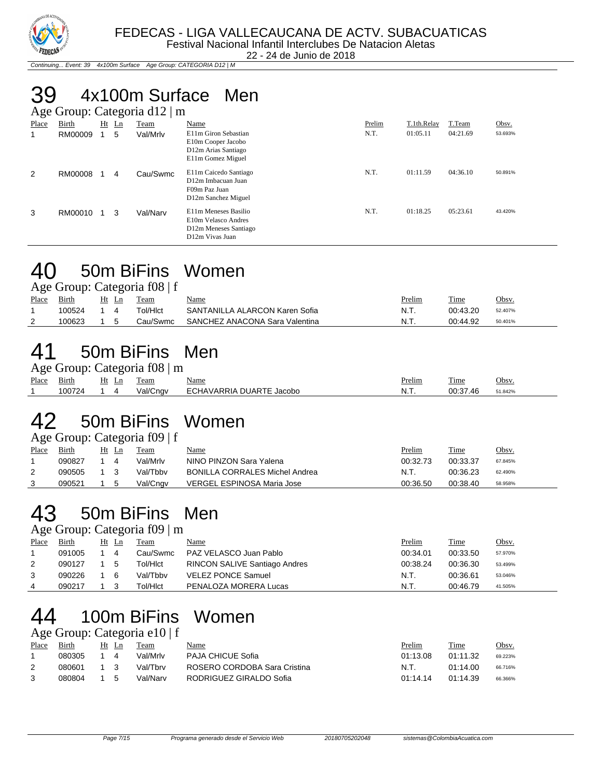

22 - 24 de Junio de 2018

Continuing... Event: 39 4x100m Surface Age Group: CATEGORIA D12 | M

### 39 4x100m Surface Men

|                | Age Group: Categoria d12   m |  |         |          |                                                                                                      |        |             |          |         |  |  |
|----------------|------------------------------|--|---------|----------|------------------------------------------------------------------------------------------------------|--------|-------------|----------|---------|--|--|
| Place          | Birth                        |  | $Ht$ Ln | Team     | Name                                                                                                 | Prelim | T.1th.Relay | T.Team   | Obsv.   |  |  |
| 1              | RM00009                      |  | 5       | Val/Mrlv | E11m Giron Sebastian<br>E10m Cooper Jacobo<br>D12m Arias Santiago<br>E11m Gomez Miguel               | N.T.   | 01:05.11    | 04:21.69 | 53.693% |  |  |
| $\overline{2}$ | RM00008                      |  | 4       | Cau/Swmc | E11m Caicedo Santiago<br>D <sub>12</sub> m Imbacuan Juan<br>F09m Paz Juan<br>D12m Sanchez Miguel     | N.T.   | 01:11.59    | 04:36.10 | 50.891% |  |  |
| 3              | RM00010                      |  | 3       | Val/Narv | E11m Meneses Basilio<br>E10m Velasco Andres<br>D <sub>12</sub> m Meneses Santiago<br>D12m Vivas Juan | N.T.   | 01:18.25    | 05:23.61 | 43.420% |  |  |

#### 40 50m BiFins Women

| Age Group: Categoria f08   f |  |
|------------------------------|--|
|                              |  |

|       |        |       | $\frac{1}{2}$ Solvap: Categoria 100   1 |                                |        |          |              |
|-------|--------|-------|-----------------------------------------|--------------------------------|--------|----------|--------------|
| Place | Birth  | Ht Ln | Team                                    | <u>Name</u>                    | Prelim | Time     | <u>Obsv.</u> |
|       | 100524 |       | ⊤ol/Hlct                                | SANTANILLA ALARCON Karen Sofia | N.T.   | 00:43.20 | 52.407%      |
|       | 100623 |       | Cau/Swmc                                | SANCHEZ ANACONA Sara Valentina | N.T.   | 00:44.92 | 50.401%      |
|       |        |       |                                         |                                |        |          |              |

#### 41 50m BiFins Men

|       | Age Group: Categoria f08   m |       |  |          |                          |               |          |         |  |  |  |  |
|-------|------------------------------|-------|--|----------|--------------------------|---------------|----------|---------|--|--|--|--|
| Place | <b>Birth</b>                 | Ht Ln |  | Team     | Name                     | <u>Prelim</u> | Time     | Obsv.   |  |  |  |  |
|       | 100724                       |       |  | Val/Cngv | ECHAVARRIA DUARTE Jacobo | N.T.          | 00:37.46 | 51.842% |  |  |  |  |

## 42 50m BiFins Women

Age Group: Categoria f09 | f

| Place | Birth  | Ht | Ln | Team     | Name                                  | Prelim   | Time     | Obsv.   |
|-------|--------|----|----|----------|---------------------------------------|----------|----------|---------|
|       | 090827 |    |    | Val/Mrlv | NINO PINZON Sara Yalena               | 00:32.73 | 00:33.37 | 67.845% |
|       | 090505 |    |    | Val/Tbbv | <b>BONILLA CORRALES Michel Andrea</b> | N.T.     | 00:36.23 | 62.490% |
|       | 090521 |    |    | Val/Cngv | VERGEL ESPINOSA Maria Jose            | 00:36.50 | 00:38.40 | 58.958% |

## 43 50m BiFins Men

Age Group: Categoria f09 | m

| Place | <b>Birth</b> | Ht Ln | Team     | <u>Name</u>                   | <u>Prelim</u> | <u>Time</u> | Obsv.   |
|-------|--------------|-------|----------|-------------------------------|---------------|-------------|---------|
|       | 091005       | -4    | Cau/Swmc | PAZ VELASCO Juan Pablo        | 00:34.01      | 00:33.50    | 57.970% |
| 2     | 090127       | 5     | Tol/HIct | RINCON SALIVE Santiago Andres | 00:38.24      | 00:36.30    | 53.499% |
|       | 090226       | 6     | Val/Tbbv | <b>VELEZ PONCE Samuel</b>     | N.T.          | 00:36.61    | 53.046% |
| 4     | 090217       |       | Гоl/Hlct | PENALOZA MORERA Lucas         | N.T.          | 00:46.79    | 41.505% |
|       |              |       |          |                               |               |             |         |

#### 44 100m BiFins Women Age Group: Categoria e10 | f

| Birth  |  | Team                                | Name                                       | Prelim   | Time     | Obsv.                |
|--------|--|-------------------------------------|--------------------------------------------|----------|----------|----------------------|
| 080305 |  | Val/Mrlv                            | <b>PAJA CHICUE Sofia</b>                   | 01:13.08 |          | 69.223%              |
| 080601 |  | Val/Thrv                            | ROSERO CORDOBA Sara Cristina               | N.T.     | 01:14.00 | 66.716%              |
| 080804 |  | Val/Narv                            | RODRIGUEZ GIRALDO Sofia                    | 01:14.14 |          | 66.366%              |
|        |  | Ht Ln<br>4<br>$\overline{1}$ 3<br>5 | $1.45$ $0.04$ $\mu$ , $0.04$ $0.04$ $0.01$ |          |          | 01:11.32<br>01:14.39 |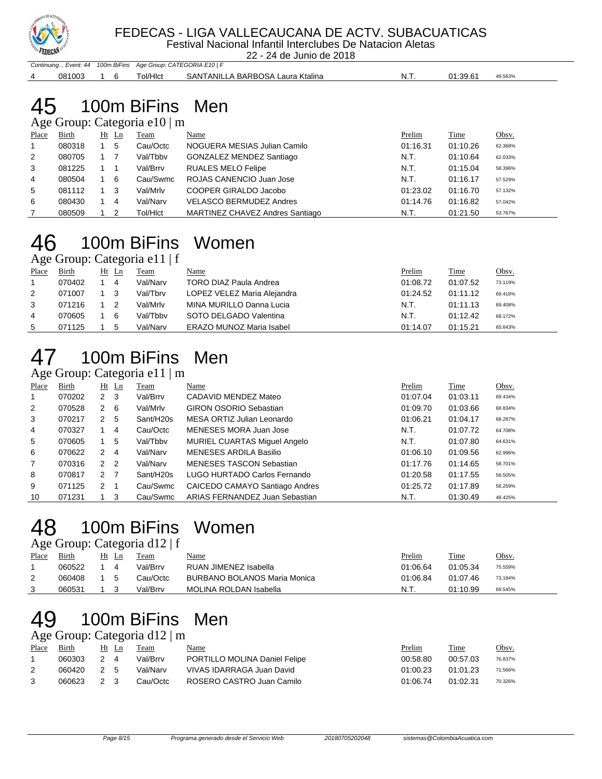

#### FEDECAS - LIGA VALLECAUCANA DE ACTV. SUBACUATICAS

Festival Nacional Infantil Interclubes De Natacion Aletas

22 - 24 de Junio de 2018

|                                                               |  |          | _____<br>_ _ _ _ _ _ _ _ _ _ _ _ _ _ _ _ _ |     |                     |  |
|---------------------------------------------------------------|--|----------|--------------------------------------------|-----|---------------------|--|
| Continuing Event: 44 100m BiFins Age Group: CATEGORIA E10   F |  |          |                                            |     |                     |  |
| 081003                                                        |  | Tol/HIct | SANTANILLA BARBOSA Laura Ktalina           | N.T | 01:39.61<br>49.563% |  |

#### 100m BiFins Men  $\frac{1}{2}$

|       | $\angle$ Age Oroup. Categoria et $\sigma$   III |    |    |          |                                 |          |             |         |  |  |  |  |
|-------|-------------------------------------------------|----|----|----------|---------------------------------|----------|-------------|---------|--|--|--|--|
| Place | Birth                                           | Ht | Ln | Team     | Name                            | Prelim   | <b>Time</b> | Obsv.   |  |  |  |  |
|       | 080318                                          |    | 5  | Cau/Octc | NOGUERA MESIAS Julian Camilo    | 01:16.31 | 01:10.26    | 62.368% |  |  |  |  |
| 2     | 080705                                          |    |    | Val/Tbby | GONZALEZ MENDEZ Santiago        | N.T.     | 01:10.64    | 62.033% |  |  |  |  |
| 3     | 081225                                          |    |    | Val/Brrv | <b>RUALES MELO Felipe</b>       | N.T.     | 01:15.04    | 58.396% |  |  |  |  |
| 4     | 080504                                          |    | 6  | Cau/Swmc | ROJAS CANENCIO Juan Jose        | N.T.     | 01:16.17    | 57.529% |  |  |  |  |
| 5     | 081112                                          |    | 3  | Val/Mrlv | COOPER GIRALDO Jacobo           | 01:23.02 | 01:16.70    | 57.132% |  |  |  |  |
| 6     | 080430                                          |    | 4  | Val/Narv | <b>VELASCO BERMUDEZ Andres</b>  | 01:14.76 | 01:16.82    | 57.042% |  |  |  |  |
|       | 080509                                          |    | າ  | Tol/HIct | MARTINEZ CHAVEZ Andres Santiago | N.T.     | 01:21.50    | 53.767% |  |  |  |  |

#### 100m BiFins Women Age Group: Categoria e11 | f

|       |        |       | $1.50$ errorp. eaconomic extractions |                                 |          |          |              |
|-------|--------|-------|--------------------------------------|---------------------------------|----------|----------|--------------|
| Place | Birth  | Ht Ln | Team                                 | Name                            | Prelim   | Time     | <u>Obsv.</u> |
|       | 070402 | 4     | Val/Narv                             | TORO DIAZ Paula Andrea          | 01:08.72 | 01:07.52 | 73.119%      |
| 2     | 071007 |       | Val/Tbrv                             | LOPEZ VELEZ Maria Alejandra     | 01:24.52 | 01:11.12 | 69.418%      |
| 3     | 071216 |       | Val/Mrlv                             | MINA MURILLO Danna Lucia        | N.T.     | 01:11.13 | 69.408%      |
| 4     | 070605 | 6     | Val/Tbby                             | SOTO DELGADO Valentina          | N.T.     | 01:12.42 | 68.172%      |
| 5     | 071125 |       | Val/Narv                             | <b>ERAZO MUNOZ Maria Isabel</b> | 01:14.07 | 01:15.21 | 65.643%      |

## 100m BiFins Men

#### Age Group: Categoria e11 | m

| ີ              |        |                |                |           |                                 |          |          |         |
|----------------|--------|----------------|----------------|-----------|---------------------------------|----------|----------|---------|
| Place          | Birth  | Ht             | $\mathbf{L}$ n | Team      | Name                            | Prelim   | Time     | Obsv.   |
| $\mathbf{1}$   | 070202 | $\mathbf{2}$   | $\mathbf{3}$   | Val/Brrv  | CADAVID MENDEZ Mateo            | 01:07.04 | 01:03.11 | 69.434% |
| 2              | 070528 | 2              | 6              | Val/Mrlv  | <b>GIRON OSORIO Sebastian</b>   | 01:09.70 | 01:03.66 | 68.834% |
| 3              | 070217 | 2              | 5              | Sant/H20s | MESA ORTIZ Julian Leonardo      | 01:06.21 | 01:04.17 | 68.287% |
| 4              | 070327 |                | 4              | Cau/Octc  | MENESES MORA Juan Jose          | N.T.     | 01:07.72 | 64.708% |
| 5              | 070605 | 1              | 5              | Val/Tbby  | MURIEL CUARTAS Miguel Angelo    | N.T.     | 01:07.80 | 64.631% |
| 6              | 070622 | 2              | 4              | Val/Narv  | <b>MENESES ARDILA Basilio</b>   | 01:06.10 | 01:09.56 | 62.996% |
| $\overline{7}$ | 070316 | 2 <sub>2</sub> |                | Val/Narv  | <b>MENESES TASCON Sebastian</b> | 01:17.76 | 01:14.65 | 58.701% |
| 8              | 070817 | 2              | - 7            | Sant/H20s | LUGO HURTADO Carlos Fernando    | 01:20.58 | 01:17.55 | 56.505% |
| 9              | 071125 | 2              | -1             | Cau/Swmc  | CAICEDO CAMAYO Santiago Andres  | 01:25.72 | 01:17.89 | 56.259% |
| 10             | 071231 |                | 3              | Cau/Swmc  | ARIAS FERNANDEZ Juan Sebastian  | N.T.     | 01:30.49 | 48.425% |

#### 100m BiFins Women

Age Group: Categoria d12 | f

|       |        |    | ຼ |          |                                     |               |          |         |
|-------|--------|----|---|----------|-------------------------------------|---------------|----------|---------|
| Place | Birth  | Ht |   | Team     | <u>Name</u>                         | <u>Prelim</u> | Time     | Obsv.   |
|       | 060522 |    |   | Val/Brrv | RUAN JIMENEZ Isabella               | 01:06.64      | 01:05.34 | 75.559% |
| 2     | 060408 |    |   | Cau/Octc | <b>BURBANO BOLANOS Maria Monica</b> | 01:06.84      | 01:07.46 | 73.184% |
|       | 060531 |    |   | Val/Brrv | <b>MOLINA ROLDAN Isabella</b>       | N.T.          | 01:10.99 | 69.545% |
|       |        |    |   |          |                                     |               |          |         |

## 100m BiFins Men

Age Group: Categoria d12 | m

| Place | Birth   |                 | Ht Ln | Team     | <u>Name</u>                   | Prelim   | Time     | Obsv.   |
|-------|---------|-----------------|-------|----------|-------------------------------|----------|----------|---------|
|       | 060303  | $\mathcal{P}^-$ |       | Val/Brrv | PORTILLO MOLINA Daniel Felipe | 00:58.80 | 00:57.03 | 76.837% |
|       | 060420. | 25              |       | Val/Narv | VIVAS IDARRAGA Juan David     | 01:00.23 | 01:01.23 | 71.566% |
|       | 060623  | 2 3             |       | Cau/Octc | ROSERO CASTRO Juan Camilo     | 01:06.74 | 01:02.31 | 70.326% |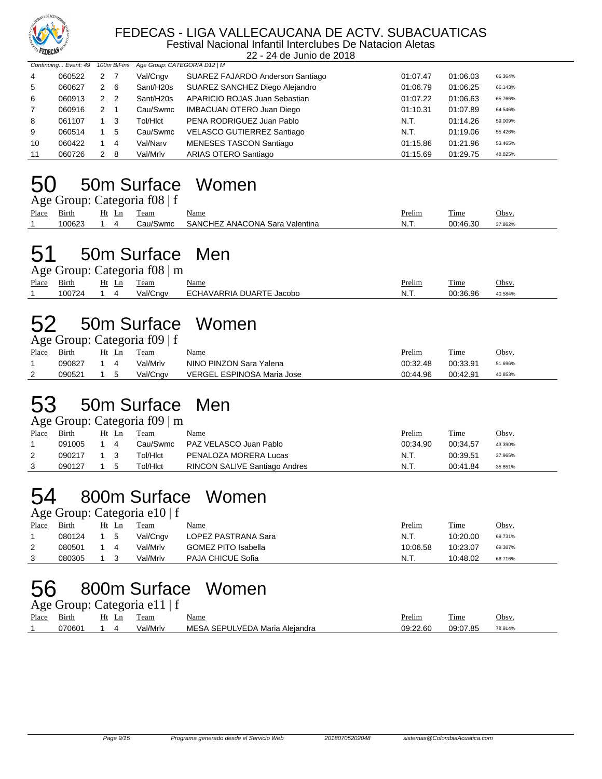

#### FEDECAS - LIGA VALLECAUCANA DE ACTV. SUBACUATICAS

Festival Nacional Infantil Interclubes De Natacion Aletas 22 - 24 de Junio de 2018

|                | Continuing Event: 49 |   |     |           | 100m BiFins Age Group: CATEGORIA D12   M |          |          |         |  |
|----------------|----------------------|---|-----|-----------|------------------------------------------|----------|----------|---------|--|
| $\overline{4}$ | 060522               | 2 |     | Val/Cngv  | SUAREZ FAJARDO Anderson Santiago         | 01:07.47 | 01:06.03 | 66.364% |  |
| 5              | 060627               | 2 | - 6 | Sant/H20s | SUAREZ SANCHEZ Diego Alejandro           | 01:06.79 | 01:06.25 | 66.143% |  |
| 6              | 060913               | 2 | - 2 | Sant/H20s | APARICIO ROJAS Juan Sebastian            | 01:07.22 | 01:06.63 | 65.766% |  |
| 7              | 060916               | 2 |     | Cau/Swmc  | <b>IMBACUAN OTERO Juan Diego</b>         | 01:10.31 | 01:07.89 | 64.546% |  |
| 8              | 061107               |   | - 3 | Tol/HIct  | PENA RODRIGUEZ Juan Pablo                | N.T.     | 01:14.26 | 59.009% |  |
| 9              | 060514               |   | 5   | Cau/Swmc  | VELASCO GUTIERREZ Santiago               | N.T.     | 01:19.06 | 55.426% |  |
| 10             | 060422               |   | 4   | Val/Narv  | MENESES TASCON Santiago                  | 01:15.86 | 01:21.96 | 53.465% |  |
| 11             | 060726               | 2 | -8  | Val/Mrlv  | ARIAS OTERO Santiago                     | 01:15.69 | 01:29.75 | 48.825% |  |

## 50 50m Surface Women

|       | Age Group: Categoria f08   f |       |          |                                |        |          |         |  |  |  |  |
|-------|------------------------------|-------|----------|--------------------------------|--------|----------|---------|--|--|--|--|
| Place | Birth                        | Ht Ln | Team     | <u>Name</u>                    | Prelim | Time     | Obsv.   |  |  |  |  |
|       | 100623                       |       | Cau/Swmc | SANCHEZ ANACONA Sara Valentina | N.T.   | 00:46.30 | 37.862% |  |  |  |  |

#### 51 50m Surface Men

|             | Age Group: Categoria f08   m |       |          |                          |               |          |         |  |  |  |  |  |
|-------------|------------------------------|-------|----------|--------------------------|---------------|----------|---------|--|--|--|--|--|
| Place Birth |                              | Ht Ln | Team     | <u>Name</u>              | <u>Prelim</u> | Time     | Obsv.   |  |  |  |  |  |
|             | 100724                       |       | Val/Cngv | ECHAVARRIA DUARTE Jacobo | N.T.          | 00:36.96 | 40.584% |  |  |  |  |  |

### 52 50m Surface Women

|       | Age Group: Categoria f09   f |  |         |          |                            |          |          |         |  |  |  |
|-------|------------------------------|--|---------|----------|----------------------------|----------|----------|---------|--|--|--|
| Place | <b>Birth</b>                 |  | $Ht$ Ln | Team     | <u>Name</u>                | Prelim   | Time     | Obsv.   |  |  |  |
|       | 090827                       |  | 4       | Val/Mrlv | NINO PINZON Sara Yalena    | 00:32.48 | 00:33.91 | 51.696% |  |  |  |
|       | 090521                       |  | - 5     | Val/Cngv | VERGEL ESPINOSA Maria Jose | 00:44.96 | 00:42.91 | 40.853% |  |  |  |

#### 53 50m Surface Men

|       | Age Group: Categoria $f09 \mid m$ |    |       |          |                                      |          |          |         |  |  |  |  |  |
|-------|-----------------------------------|----|-------|----------|--------------------------------------|----------|----------|---------|--|--|--|--|--|
| Place | Birth                             |    | Ht Ln | Team     | Name                                 | Prelim   | Time     | Obsv.   |  |  |  |  |  |
|       | 091005                            | 14 |       | Cau/Swmc | PAZ VELASCO Juan Pablo               | 00:34.90 | 00:34.57 | 43.390% |  |  |  |  |  |
|       | 090217                            |    |       | Tol/Hlct | PENALOZA MORERA Lucas                | N.T.     | 00:39.51 | 37.965% |  |  |  |  |  |
|       | 090127                            |    |       | Tol/Hlct | <b>RINCON SALIVE Santiago Andres</b> | N.T      | 00:41.84 | 35.851% |  |  |  |  |  |

#### 54 800m Surface Women  $m$ <sup>C</sup>ategoria e10 | f

|       |              |         | $\Delta g v$ Oroup. Categoria Cro   1 |                            |               |          |              |
|-------|--------------|---------|---------------------------------------|----------------------------|---------------|----------|--------------|
| Place | <b>Birth</b> | $Ht$ Ln | <b>Team</b>                           | <u>Name</u>                | <u>Prelim</u> | Time     | <u>Obsv.</u> |
|       | 080124       | - 5     | Val/Cngv                              | LOPEZ PASTRANA Sara        | N.T.          | 10:20.00 | 69.731%      |
|       | 080501       |         | Val/Mrlv                              | <b>GOMEZ PITO Isabella</b> | 10:06.58      | 10:23.07 | 69.387%      |
|       | 080305       |         | Val/Mrlv                              | <b>PAJA CHICUE Sofia</b>   | N.T.          | 10:48.02 | 66.716%      |

#### 56 800m Surface Women

Age Group: Categoria e11 | f

| $pl$ ace | $\sim$<br>Birth     | Ht<br>Ln | --<br>eam | Name                           | <sup>o</sup> relim | $\sim$<br>l'ime                                 | Obsv    |
|----------|---------------------|----------|-----------|--------------------------------|--------------------|-------------------------------------------------|---------|
|          | חממדר<br>ואו<br>uuu |          | '/al/Mrlv | Aleiandra<br>Maria<br>-MF<br>. | 09:22.60           | ∩Q∙N7<br>ິດເ<br>$\overline{\phantom{m}}$<br>.o. | 78.914% |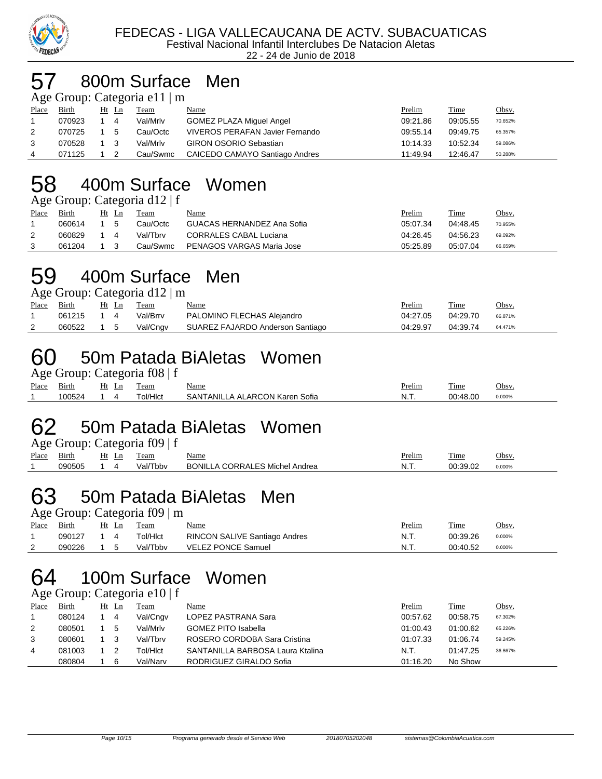

#### 57 800m Surface Men

|             | Age Group: Categoria e11 $\mid$ m |  |            |      |  |
|-------------|-----------------------------------|--|------------|------|--|
| Place Birth |                                   |  | Ht Ln Team | Name |  |

| Place | Birth  | Ht Ln |     | Team     | Name                            | Prelim   | Time     | <u>Obsv.</u> |
|-------|--------|-------|-----|----------|---------------------------------|----------|----------|--------------|
|       | 070923 |       | 4   | Val/Mrlv | GOMEZ PLAZA Miquel Angel        | 09:21.86 | 09:05.55 | 70.652%      |
| 2     | 070725 |       | - 5 | Cau/Octc | VIVEROS PERAFAN Javier Fernando | 09:55.14 | 09:49.75 | 65.357%      |
| 3     | 070528 |       |     | Val/Mrlv | <b>GIRON OSORIO Sebastian</b>   | 10:14.33 | 10:52.34 | 59.086%      |
| 4     | 071125 |       |     | Cau/Swmc | CAICEDO CAMAYO Santiago Andres  | 11:49.94 | 12:46.47 | 50.288%      |

## 58 400m Surface Women

Age Group: Categoria d12 | f

| Place | <b>Birth</b> | Ht Ln                                                                                                                  | Team     | <u>Name</u>                | <u>Prelim</u> | <b>Time</b> | <u>Obsv.</u> |
|-------|--------------|------------------------------------------------------------------------------------------------------------------------|----------|----------------------------|---------------|-------------|--------------|
|       | 060614       | - 5                                                                                                                    | Cau/Octc | GUACAS HERNANDEZ Ana Sofia | 05:07.34      | 04:48.45    | 70.955%      |
|       | 060829       | $\begin{array}{\begin{array}{\small \begin{array}{\small \end{array}}}} \begin{array}{\small \end{array}} \end{array}$ | Val/Tbrv | CORRALES CABAL Luciana     | 04:26.45      | 04:56.23    | 69.092%      |
|       | 061204       |                                                                                                                        | Cau/Swmc | PENAGOS VARGAS Maria Jose  | 05:25.89      | 05:07.04    | 66.659%      |

#### 59 400m Surface Men  $T_{\text{atoconic}}$  d12  $\mid$  m

|       |              |       |     | $\Delta \mathbf{g}$ t Ulbup. Calt golla ul $\mathbf{u}$   III |                                  |          |          |         |
|-------|--------------|-------|-----|---------------------------------------------------------------|----------------------------------|----------|----------|---------|
| Place | <u>Birth</u> | Ht Ln |     | Team                                                          | <u>Name</u>                      | Prelim   | Time     | Obsv.   |
|       | 061215       |       |     | Val/Brrv                                                      | PALOMINO FLECHAS Alejandro       | 04:27.05 | 04:29.70 | 66.871% |
| 2     | 060522       |       | - 5 | Val/Cngv                                                      | SUAREZ FAJARDO Anderson Santiago | 04:29.97 | 04:39.74 | 64.471% |
|       |              |       |     |                                                               |                                  |          |          |         |

## 60 50m Patada BiAletas Women

|       |        |       | Age Group: Categoria f08   f |                                |        |          |              |
|-------|--------|-------|------------------------------|--------------------------------|--------|----------|--------------|
| Place | Birth  | Ht Ln | Team                         | <u>Name</u>                    | Prelim | Time     | <u>Obsv.</u> |
|       | 100524 |       | ⊤ol/Hlct                     | SANTANILLA ALARCON Karen Sofia | -N.T.  | 00:48.00 | 0.000%       |

## 62 50m Patada BiAletas Women

|       |        |       | Age Group: Categoria f09   f |                                       |        |          |        |
|-------|--------|-------|------------------------------|---------------------------------------|--------|----------|--------|
| Place | Birth  | Ht Ln | Team                         | <u>Name</u>                           | Prelim | Time     | Obsv.  |
|       | 090505 |       | Val/Tbby                     | <b>BONILLA CORRALES Michel Andrea</b> | N.T.   | 00:39.02 | 0.000% |

#### 63 50m Patada BiAletas Men  $\frac{1}{2} \cdot \frac{1}{2}$

|       |        |       | $\Delta \mathbf{g}$ t Urbup. Categoria 107   III |                               |               |          |              |
|-------|--------|-------|--------------------------------------------------|-------------------------------|---------------|----------|--------------|
| Place | Birth  | Ht Ln | Team                                             | <u>Name</u>                   | <u>Prelim</u> | Time     | <u>Obsv.</u> |
|       | 090127 |       | Tol/Hlct                                         | RINCON SALIVE Santiago Andres | N.T.          | 00:39.26 | 0.000%       |
|       | 090226 |       | Val/Tbby                                         | VELEZ PONCE Samuel            | N.T.          | 00:40.52 | 0.000%       |

## 64 100m Surface Women

#### Age Group: Categoria e10 | f

| Place | Birth  | Ht | Ln | Team     | <u>Name</u>                      | <b>Prelim</b> | Time     | <u>Obsv.</u> |
|-------|--------|----|----|----------|----------------------------------|---------------|----------|--------------|
|       | 080124 |    | 4  | Val/Cngv | LOPEZ PASTRANA Sara              | 00:57.62      | 00:58.75 | 67.302%      |
| 2     | 080501 |    | 5  | Val/Mrlv | <b>GOMEZ PITO Isabella</b>       | 01:00.43      | 01:00.62 | 65.226%      |
| 3     | 080601 |    |    | Val/Tbrv | ROSERO CORDOBA Sara Cristina     | 01:07.33      | 01:06.74 | 59.245%      |
| 4     | 081003 |    |    | Tol/Hlct | SANTANILLA BARBOSA Laura Ktalina | N.T.          | 01:47.25 | 36.867%      |
|       | 080804 |    | 6  | Val/Narv | RODRIGUEZ GIRALDO Sofia          | 01:16.20      | No Show  |              |
|       |        |    |    |          |                                  |               |          |              |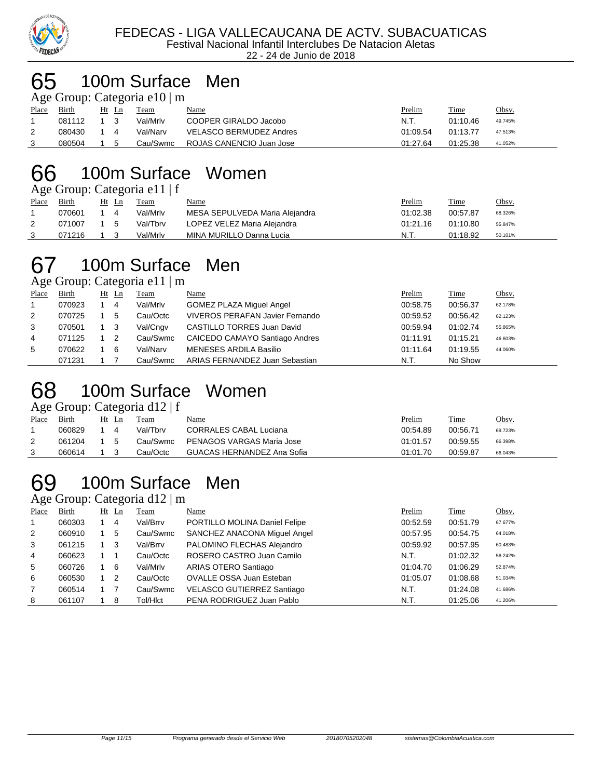

#### 100m Surface Men

Age Group: Categoria e10 | m

| Place | Birth  | Ht<br>Ln             | Team     | <u>Name</u>              | Prelim   | Time     | <u>Obsv.</u> |
|-------|--------|----------------------|----------|--------------------------|----------|----------|--------------|
|       | 081112 |                      | Val/Mrlv | COOPER GIRALDO Jacobo    | N.T.     | 01:10.46 | 49.745%      |
|       | 080430 |                      | Val/Narv | VELASCO BERMUDEZ Andres  | 01:09.54 | 01:13.77 | 47.513%      |
| -3    | 080504 | $\ddot{\phantom{1}}$ | Cau/Swmc | ROJAS CANENCIO Juan Jose | 01:27.64 | 01:25.38 | 41.052%      |

#### 100m Surface Women

Age Group: Categoria e11 | f

|       |        |            |       | $1.8$ STORP. Categoria CIT   I |                                |               |             |         |
|-------|--------|------------|-------|--------------------------------|--------------------------------|---------------|-------------|---------|
| Place | Birth  |            | Ht Ln | Team                           | Name                           | <u>Prelim</u> | <b>Time</b> | Obsy.   |
|       | 070601 |            |       | Val/Mrlv                       | MESA SEPULVEDA Maria Alejandra | 01:02.38      | 00:57.87    | 68.326% |
|       | 071007 | $1\quad 5$ |       | Val/Tbrv                       | LOPEZ VELEZ Maria Alejandra    | 01:21.16      | 01:10.80    | 55.847% |
|       | 071216 |            | - 3   | Val/Mrlv                       | MINA MURILLO Danna Lucia       | N.T.          | 01:18.92    | 50.101% |

## 100m Surface Men

Age Group: Categoria e11 | m

| Place          | <b>Birth</b> |     | Ht Ln | Team     | Name                                   | Prelim   | Time     | Obsv.   |
|----------------|--------------|-----|-------|----------|----------------------------------------|----------|----------|---------|
|                | 070923       |     | 4     | Val/Mrlv | <b>GOMEZ PLAZA Miguel Angel</b>        | 00:58.75 | 00:56.37 | 62.178% |
| $\overline{2}$ | 070725       |     | 5     | Cau/Octc | <b>VIVEROS PERAFAN Javier Fernando</b> | 00:59.52 | 00:56.42 | 62.123% |
| 3              | 070501       | 1 3 |       | Val/Cngv | CASTILLO TORRES Juan David             | 00:59.94 | 01:02.74 | 55.865% |
| $\overline{4}$ | 071125       |     | -2    | Cau/Swmc | CAICEDO CAMAYO Santiago Andres         | 01:11.91 | 01:15.21 | 46.603% |
| 5              | 070622       |     | 6     | Val/Narv | <b>MENESES ARDILA Basilio</b>          | 01:11.64 | 01:19.55 | 44.060% |
|                | 071231       |     |       | Cau/Swmc | ARIAS FERNANDEZ Juan Sebastian         | N.T.     | No Show  |         |

## 100m Surface Women

Age Group: Categoria d12 | f

| Place | Birth  | Ht<br>Ln | Team     | Name                          | <u>Prelim</u> | Time     | Obsv.   |
|-------|--------|----------|----------|-------------------------------|---------------|----------|---------|
|       | 060829 |          | Val/Tbrv | <b>CORRALES CABAL Luciana</b> | 00:54.89      | 00:56.71 | 69.723% |
|       | 061204 | - 5      | Cau/Swmc | PENAGOS VARGAS Maria Jose     | 01:01.57      | 00:59.55 | 66.398% |
|       | 060614 |          | Cau/Octc | GUACAS HERNANDEZ Ana Sofia    | 01:01.70      | 00:59.87 | 66.043% |
|       |        |          |          |                               |               |          |         |

## 100m Surface Men

Age Group: Categoria d12 | m

| Place          | <b>Birth</b> | $Ht$ Ln | <b>Team</b> | Name                          | Prelim   | Time     | Obsv.   |
|----------------|--------------|---------|-------------|-------------------------------|----------|----------|---------|
| $\mathbf 1$    | 060303       | 4       | Val/Brrv    | PORTILLO MOLINA Daniel Felipe | 00:52.59 | 00:51.79 | 67.677% |
| 2              | 060910       | 5       | Cau/Swmc    | SANCHEZ ANACONA Miquel Angel  | 00:57.95 | 00:54.75 | 64.018% |
| 3              | 061215       | 3       | Val/Brrv    | PALOMINO FLECHAS Alejandro    | 00:59.92 | 00:57.95 | 60.483% |
| $\overline{4}$ | 060623       |         | Cau/Octc    | ROSERO CASTRO Juan Camilo     | N.T.     | 01:02.32 | 56.242% |
| 5              | 060726       | 6       | Val/Mrlv    | ARIAS OTERO Santiago          | 01:04.70 | 01:06.29 | 52.874% |
| 6              | 060530       | 2       | Cau/Octc    | OVALLE OSSA Juan Esteban      | 01:05.07 | 01:08.68 | 51.034% |
| $\overline{7}$ | 060514       |         | Cau/Swmc    | VELASCO GUTIERREZ Santiago    | N.T.     | 01:24.08 | 41.686% |
| 8              | 061107       | 8       | Tol/HIct    | PENA RODRIGUEZ Juan Pablo     | N.T.     | 01:25.06 | 41.206% |
|                |              |         |             |                               |          |          |         |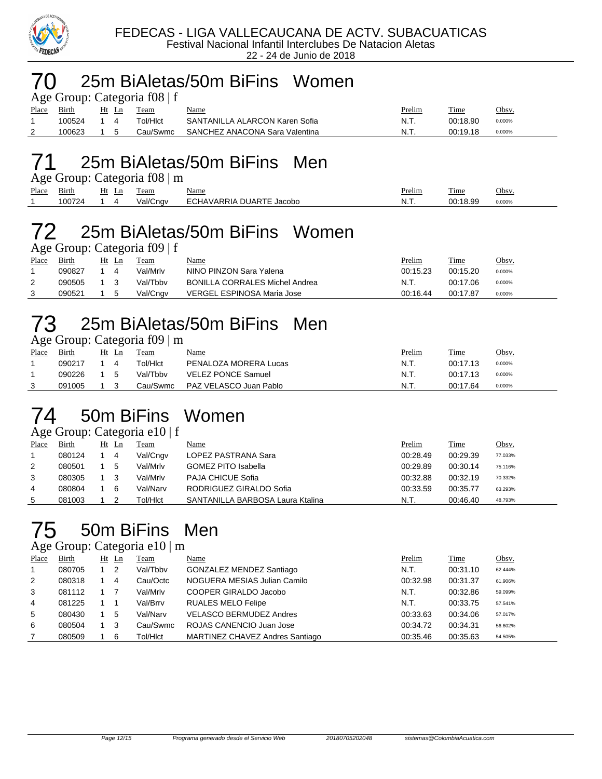

#### 25m BiAletas/50m BiFins Women

|          |        |              | Age Group: Categoria $f(08)$ f |                                |               |          |              |
|----------|--------|--------------|--------------------------------|--------------------------------|---------------|----------|--------------|
| Place    | Birth  | Ht Ln        | Team                           | <b>Name</b>                    | <b>Prelim</b> | Time     | <u>Obsv.</u> |
|          | 100524 |              | Гоl/Hlct                       | SANTANILLA ALARCON Karen Sofia | N.T.          | 00:18.90 | 0.000%       |
| <u>_</u> | 100623 | $\mathbf{b}$ | Cau/Swmc                       | SANCHEZ ANACONA Sara Valentina | . N.T         | 00:19.18 | 0.000%       |
|          |        |              |                                |                                |               |          |              |

#### 25m BiAletas/50m BiFins Men

| Age Group: Categoria f08   m |  |  |
|------------------------------|--|--|
|                              |  |  |

| _     |                            | --       |                                           |                                       |          |                 |             |
|-------|----------------------------|----------|-------------------------------------------|---------------------------------------|----------|-----------------|-------------|
| Place | $\sim$ .<br>31rth          | Ht<br>Ln | eam                                       | Name                                  | relim    | --<br>ı ime     | Obsv.       |
|       | $\sim$ $\sim$ $\sim$<br>uu |          | $\overline{\phantom{a}}$<br>∴nav<br>/al/l | ı<br><b>DIA</b><br>Jacobo<br>"מ<br>`` | <b>.</b> | $\alpha$<br>1 O | 0.000%<br>. |
|       |                            |          |                                           |                                       |          |                 |             |

# 25m BiAletas/50m BiFins Women

Age Group: Categoria f09 | f

| Place | Birth  | Ht | Ln | Team     | <u>Name</u>                           | <u>Prelim</u> | Time     | Obsv.  |
|-------|--------|----|----|----------|---------------------------------------|---------------|----------|--------|
|       | 090827 |    |    | Val/Mrlv | NINO PINZON Sara Yalena               | 00:15.23      | 00:15.20 | 0.000% |
|       | 090505 |    |    | Val/Tbbv | <b>BONILLA CORRALES Michel Andrea</b> | -N.T.         | 00:17.06 | 0.000% |
|       | 090521 |    |    | Val/Cngv | VERGEL ESPINOSA Maria Jose            | 00:16.44      | 00:17.87 | 0.000% |

## 25m BiAletas/50m BiFins Men

Age Group: Categoria f09 | m

| Place | Birth  | Ht Ln | Team     | <u>Name</u>               | Prelim | <b>Time</b> | Obsv.  |
|-------|--------|-------|----------|---------------------------|--------|-------------|--------|
|       | 090217 |       | Tol/HIct | PENALOZA MORERA Lucas     | N.T.   | 00:17.13    | 0.000% |
|       | 090226 | . 5   | Val/Tbby | <b>VELEZ PONCE Samuel</b> | N.T.   | 00:17.13    | 0.000% |
|       | 091005 |       | Cau/Swmc | PAZ VELASCO Juan Pablo    | N.T    | 00:17.64    | 0.000% |

#### 50m BiFins Women

#### Age Group: Categoria e10 | f

| Place | Birth  | Ht Ln | Team     | Name                             | Prelim   | Time     | Obsv.   |
|-------|--------|-------|----------|----------------------------------|----------|----------|---------|
|       | 080124 | 4     | Val/Cngv | LOPEZ PASTRANA Sara              | 00:28.49 | 00:29.39 | 77.033% |
| 2     | 080501 | 5     | Val/Mrlv | <b>GOMEZ PITO Isabella</b>       | 00:29.89 | 00:30.14 | 75.116% |
| 3     | 080305 |       | Val/Mrlv | <b>PAJA CHICUE Sofia</b>         | 00:32.88 | 00:32.19 | 70.332% |
| 4     | 080804 | 6     | Val/Narv | RODRIGUEZ GIRALDO Sofia          | 00:33.59 | 00:35.77 | 63.293% |
| 5     | 081003 |       | Tol/HIct | SANTANILLA BARBOSA Laura Ktalina | N.T.     | 00:46.40 | 48.793% |

#### 50m BiFins Men

#### Age Group: Categoria e10 | m

| -     |        |    | ~   |          |                                 |          |          |         |
|-------|--------|----|-----|----------|---------------------------------|----------|----------|---------|
| Place | Birth  | Ht | Ln  | Team     | Name                            | Prelim   | Time     | Obsv.   |
|       | 080705 |    | -2  | Val/Tbby | GONZALEZ MENDEZ Santiago        | N.T.     | 00:31.10 | 62.444% |
| 2     | 080318 |    | 4   | Cau/Octc | NOGUERA MESIAS Julian Camilo    | 00:32.98 | 00:31.37 | 61.906% |
| 3     | 081112 |    |     | Val/Mrlv | COOPER GIRALDO Jacobo           | N.T.     | 00:32.86 | 59.099% |
| 4     | 081225 |    |     | Val/Brrv | <b>RUALES MELO Felipe</b>       | N.T.     | 00:33.75 | 57.541% |
| 5     | 080430 |    | 5   | Val/Narv | <b>VELASCO BERMUDEZ Andres</b>  | 00:33.63 | 00:34.06 | 57.017% |
| 6     | 080504 |    | - 3 | Cau/Swmc | ROJAS CANENCIO Juan Jose        | 00:34.72 | 00:34.31 | 56.602% |
|       | 080509 |    | 6   | Tol/HIct | MARTINEZ CHAVEZ Andres Santiago | 00:35.46 | 00:35.63 | 54.505% |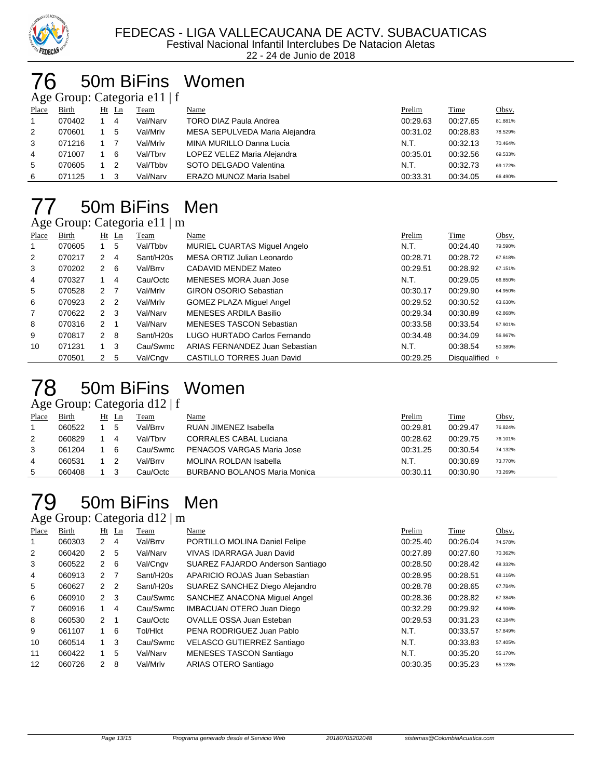

#### 50m BiFins Women

Age Group: Categoria e11 | f

| Place | Birth  | Ht Ln | Team     | Name                            | Prelim   | Time     | <u>Obsv.</u> |
|-------|--------|-------|----------|---------------------------------|----------|----------|--------------|
|       | 070402 | 4     | Val/Narv | <b>TORO DIAZ Paula Andrea</b>   | 00:29.63 | 00:27.65 | 81.881%      |
| 2     | 070601 | 5     | Val/Mrlv | MESA SEPULVEDA Maria Alejandra  | 00:31.02 | 00:28.83 | 78.529%      |
| 3     | 071216 |       | Val/Mrlv | MINA MURILLO Danna Lucia        | N.T.     | 00:32.13 | 70.464%      |
| 4     | 071007 | - 6   | Val/Tbrv | LOPEZ VELEZ Maria Alejandra     | 00:35.01 | 00:32.56 | 69.533%      |
| 5     | 070605 | - 2   | Val/Tbby | SOTO DELGADO Valentina          | N.T.     | 00:32.73 | 69.172%      |
| 6     | 071125 | - 3   | Val/Narv | <b>ERAZO MUNOZ Maria Isabel</b> | 00:33.31 | 00:34.05 | 66.490%      |
|       |        |       |          |                                 |          |          |              |

#### 50m BiFins Men Age Group: Categoria e11 | m

|                | $1.48$ $1.04$ $1.04$ $1.04$ $1.04$ $1.04$ $1.04$ |                  |             |                       |                                   |          |                |         |  |  |
|----------------|--------------------------------------------------|------------------|-------------|-----------------------|-----------------------------------|----------|----------------|---------|--|--|
| Place          | Birth                                            |                  | $Ht$ Ln     | Team                  | Name                              | Prelim   | Time           | Obsv.   |  |  |
| 1              | 070605                                           |                  | 5           | Val/Tbby              | MURIEL CUARTAS Miguel Angelo      | N.T.     | 00:24.40       | 79.590% |  |  |
| $\overline{2}$ | 070217                                           | 2                | -4          | Sant/H20s             | MESA ORTIZ Julian Leonardo        | 00:28.71 | 00:28.72       | 67.618% |  |  |
| 3              | 070202                                           | $2 \quad 6$      |             | Val/Brrv              | CADAVID MENDEZ Mateo              | 00:29.51 | 00:28.92       | 67.151% |  |  |
| 4              | 070327                                           |                  | 4           | Cau/Octc              | MENESES MORA Juan Jose            | N.T.     | 00:29.05       | 66.850% |  |  |
| 5              | 070528                                           | $2 \overline{7}$ |             | Val/Mrlv              | <b>GIRON OSORIO Sebastian</b>     | 00:30.17 | 00:29.90       | 64.950% |  |  |
| 6              | 070923                                           | 2 <sub>2</sub>   |             | Val/Mrlv              | <b>GOMEZ PLAZA Miguel Angel</b>   | 00:29.52 | 00:30.52       | 63.630% |  |  |
| $\overline{7}$ | 070622                                           | $2 \quad 3$      |             | Val/Narv              | MENESES ARDILA Basilio            | 00:29.34 | 00:30.89       | 62.868% |  |  |
| 8              | 070316                                           | 2 1              |             | Val/Narv              | <b>MENESES TASCON Sebastian</b>   | 00:33.58 | 00:33.54       | 57.901% |  |  |
| 9              | 070817                                           | $2 \quad 8$      |             | Sant/H <sub>20s</sub> | LUGO HURTADO Carlos Fernando      | 00:34.48 | 00:34.09       | 56.967% |  |  |
| 10             | 071231                                           |                  | $1 \quad 3$ | Cau/Swmc              | ARIAS FERNANDEZ Juan Sebastian    | N.T.     | 00:38.54       | 50.389% |  |  |
|                | 070501                                           | 2 <sub>5</sub>   |             | Val/Cngv              | <b>CASTILLO TORRES Juan David</b> | 00:29.25 | Disqualified o |         |  |  |

# 50m BiFins Women

| Age Group: Categoria d12   f |        |  |       |          |                                     |          |          |         |  |
|------------------------------|--------|--|-------|----------|-------------------------------------|----------|----------|---------|--|
| Place                        | Birth  |  | Ht Ln | Team     | Name                                | Prelim   | Time     | Obsv.   |  |
|                              | 060522 |  | 5     | Val/Brrv | RUAN JIMENEZ Isabella               | 00:29.81 | 00:29.47 | 76.824% |  |
| 2                            | 060829 |  | 4     | Val/Tbrv | <b>CORRALES CABAL Luciana</b>       | 00:28.62 | 00:29.75 | 76.101% |  |
| 3                            | 061204 |  | 6     | Cau/Swmc | PENAGOS VARGAS Maria Jose           | 00:31.25 | 00:30.54 | 74.132% |  |
| 4                            | 060531 |  |       | Val/Brrv | <b>MOLINA ROLDAN Isabella</b>       | N.T.     | 00:30.69 | 73.770% |  |
| 5                            | 060408 |  | 3     | Cau/Octc | <b>BURBANO BOLANOS Maria Monica</b> | 00:30.11 | 00:30.90 | 73.269% |  |

#### 50m BiFins Men Age Group: Categoria d12 | m

|       |        |               |                | $1.50$ $0.00$ $0.00$ $0.000$ $0.000$ $0.000$ $0.000$ |                                  |          |          |         |
|-------|--------|---------------|----------------|------------------------------------------------------|----------------------------------|----------|----------|---------|
| Place | Birth  |               | $Ht$ Ln        | Team                                                 | Name                             | Prelim   | Time     | Obsv.   |
| 1     | 060303 | 2             | 4              | Val/Brrv                                             | PORTILLO MOLINA Daniel Felipe    | 00:25.40 | 00:26.04 | 74.578% |
| 2     | 060420 | 2             | 5              | Val/Narv                                             | VIVAS IDARRAGA Juan David        | 00:27.89 | 00:27.60 | 70.362% |
| 3     | 060522 | 2             | -6             | Val/Cngv                                             | SUAREZ FAJARDO Anderson Santiago | 00:28.50 | 00:28.42 | 68.332% |
| 4     | 060913 | 2             | 7              | Sant/H20s                                            | APARICIO ROJAS Juan Sebastian    | 00:28.95 | 00:28.51 | 68.116% |
| 5     | 060627 | $\mathcal{P}$ | $\overline{2}$ | Sant/H20s                                            | SUAREZ SANCHEZ Diego Alejandro   | 00:28.78 | 00:28.65 | 67.784% |
| 6     | 060910 | $\mathcal{P}$ | -3             | Cau/Swmc                                             | SANCHEZ ANACONA Miquel Angel     | 00:28.36 | 00:28.82 | 67.384% |
| 7     | 060916 |               | 4              | Cau/Swmc                                             | <b>IMBACUAN OTERO Juan Diego</b> | 00:32.29 | 00:29.92 | 64.906% |
| 8     | 060530 | $\mathcal{P}$ |                | Cau/Octc                                             | <b>OVALLE OSSA Juan Esteban</b>  | 00:29.53 | 00:31.23 | 62.184% |
| 9     | 061107 |               | 6              | Tol/HIct                                             | PENA RODRIGUEZ Juan Pablo        | N.T.     | 00:33.57 | 57.849% |
| 10    | 060514 | 1             | -3             | Cau/Swmc                                             | VELASCO GUTIERREZ Santiago       | N.T.     | 00:33.83 | 57.405% |
| 11    | 060422 | 1.            | 5              | Val/Narv                                             | <b>MENESES TASCON Santiago</b>   | N.T.     | 00:35.20 | 55.170% |
| 12    | 060726 | 2             | 8              | Val/Mrlv                                             | ARIAS OTERO Santiago             | 00:30.35 | 00:35.23 | 55.123% |
|       |        |               |                |                                                      |                                  |          |          |         |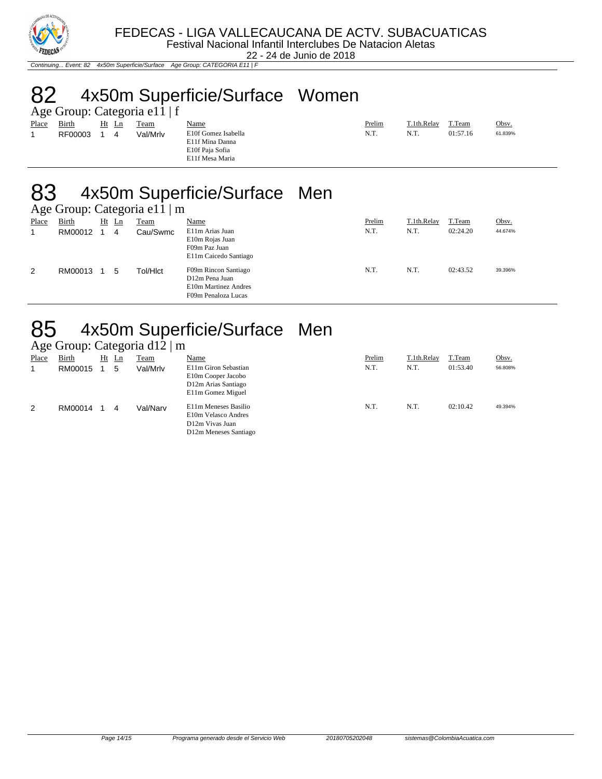

22 - 24 de Junio de 2018

Continuing... Event: 82 4x50m Superficie/Surface Age Group: CATEGORIA E11 | F

## 82 4x50m Superficie/Surface Women

| Age Group: Categoria e11   f |         |  |       |          |                                                                              |        |             |          |         |  |  |
|------------------------------|---------|--|-------|----------|------------------------------------------------------------------------------|--------|-------------|----------|---------|--|--|
| Place                        | Birth   |  | Ht Ln | Team     | Name                                                                         | Prelim | T.1th.Relay | T.Team   | Obsv.   |  |  |
|                              | RF00003 |  | 4     | Val/Mrlv | E10f Gomez Isabella<br>E11f Mina Danna<br>E10f Paja Sofia<br>E11f Mesa Maria | N.T.   | N.T.        | 01:57.16 | 61.839% |  |  |

#### 83 4x50m Superficie/Surface Men

| Age Group: Categoria e11   m |              |    |                |          |                                                                                       |        |             |          |         |
|------------------------------|--------------|----|----------------|----------|---------------------------------------------------------------------------------------|--------|-------------|----------|---------|
| Place                        | <b>Birth</b> | Ht | $\mathbf{L}$ n | Team     | <b>Name</b>                                                                           | Prelim | T.1th.Relay | T.Team   | Obsv.   |
| 1                            | RM00012      |    | 4              | Cau/Swmc | E11m Arias Juan<br>E10m Rojas Juan<br>F09m Paz Juan<br>E11m Caicedo Santiago          | N.T.   | N.T.        | 02:24.20 | 44.674% |
| 2                            | RM00013      |    | 5              | Tol/Hlct | F09m Rincon Santiago<br>D12m Pena Juan<br>E10m Martinez Andres<br>F09m Penaloza Lucas | N.T.   | N.T.        | 02:43.52 | 39.396% |

#### 85 4x50m Superficie/Surface Men

|  | Age Group: Categoria d12   m |  |
|--|------------------------------|--|
|  |                              |  |

| ٮ     |              |    | ٮ  |             |                                                                                         |        |             |          |         |
|-------|--------------|----|----|-------------|-----------------------------------------------------------------------------------------|--------|-------------|----------|---------|
| Place | <b>Birth</b> | Ht | Ln | <u>Team</u> | <u>Name</u>                                                                             | Prelim | T.1th.Relay | T.Team   | Obsv.   |
|       | RM00015      |    | 5  | Val/Mrlv    | E11m Giron Sebastian<br>E10m Cooper Jacobo<br>D12m Arias Santiago<br>E11m Gomez Miguel  | N.T.   | N.T.        | 01:53.40 | 56.808% |
| 2     | RM00014      |    | 4  | Val/Narv    | E11m Meneses Basilio<br>E10m Velasco Andres<br>D12m Vivas Juan<br>D12m Meneses Santiago | N.T.   | N.T.        | 02:10.42 | 49.394% |